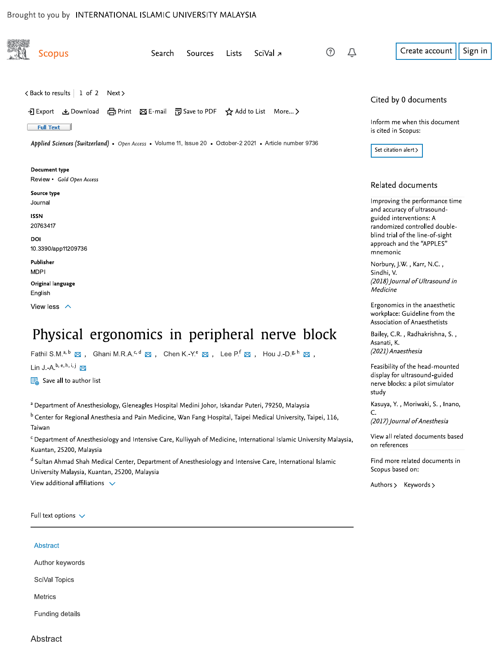## Brought to you by INTERNATIONAL ISLAMIC UNIVERSITY MALAYSIA

| <b>Scopus</b>                                                                                                                                                                                        | Search | Sources | <b>Lists</b> | SciVal z | ➀ | Û | Sign in<br>Create account                                                                                    |
|------------------------------------------------------------------------------------------------------------------------------------------------------------------------------------------------------|--------|---------|--------------|----------|---|---|--------------------------------------------------------------------------------------------------------------|
|                                                                                                                                                                                                      |        |         |              |          |   |   |                                                                                                              |
| < Back to results   1 of 2 Next >                                                                                                                                                                    |        |         |              |          |   |   | Cited by 0 documents                                                                                         |
| → Export & Download 台 Print ⊠ E-mail 阿 Save to PDF ☆ Add to List More ><br><b>Full Text</b>                                                                                                          |        |         |              |          |   |   | Inform me when this document<br>is cited in Scopus:                                                          |
| Applied Sciences (Switzerland) • Open Access • Volume 11, Issue 20 • October-2 2021 • Article number 9736                                                                                            |        |         |              |          |   |   | Set citation alert >                                                                                         |
| Document type<br>Review • Gold Open Access                                                                                                                                                           |        |         |              |          |   |   |                                                                                                              |
| Source type                                                                                                                                                                                          |        |         |              |          |   |   | Related documents                                                                                            |
| Journal<br><b>ISSN</b>                                                                                                                                                                               |        |         |              |          |   |   | Improving the performance time<br>and accuracy of ultrasound-<br>guided interventions: A                     |
| 20763417<br>DOI<br>10.3390/app11209736                                                                                                                                                               |        |         |              |          |   |   | randomized controlled double-<br>blind trial of the line-of-sight<br>approach and the "APPLES"<br>mnemonic   |
| Publisher<br><b>MDPI</b><br>Original language                                                                                                                                                        |        |         |              |          |   |   | Norbury, J.W., Karr, N.C.,<br>Sindhi, V.<br>(2018) Journal of Ultrasound in                                  |
| English                                                                                                                                                                                              |        |         |              |          |   |   | Medicine                                                                                                     |
| View less $\land$                                                                                                                                                                                    |        |         |              |          |   |   | Ergonomics in the anaesthetic<br>workplace: Guideline from the<br>Association of Anaesthetists               |
| Physical ergonomics in peripheral nerve block                                                                                                                                                        |        |         |              |          |   |   | Bailey, C.R., Radhakrishna, S.,                                                                              |
| Fathil S.M. <sup>a, b</sup> $\boxtimes$ , Ghani M.R.A. <sup>c, d</sup> $\boxtimes$ , Chen K.-Y. <sup>e</sup> $\boxtimes$ , Lee P. <sup>f</sup> $\boxtimes$ , Hou J.-D. <sup>g, h</sup> $\boxtimes$ , |        |         |              |          |   |   | Asanati, K.<br>(2021) Anaesthesia                                                                            |
| Lin J.-A. <sup>b, e, h, i, j</sup><br>$\frac{1}{\sqrt{10}}$ Save all to author list                                                                                                                  |        |         |              |          |   |   | Feasibility of the head-mounted<br>display for ultrasound-guided<br>nerve blocks: a pilot simulator<br>study |
| a Department of Anesthesiology, Gleneagles Hospital Medini Johor, Iskandar Puteri, 79250, Malaysia                                                                                                   |        |         |              |          |   |   | Kasuya, Y., Moriwaki, S., Inano,                                                                             |
| <sup>b</sup> Center for Regional Anesthesia and Pain Medicine, Wan Fang Hospital, Taipei Medical University, Taipei, 116,<br>Taiwan                                                                  |        |         |              |          |   |   | C.<br>(2017) Journal of Anesthesia                                                                           |
| <sup>c</sup> Department of Anesthesiology and Intensive Care, Kulliyyah of Medicine, International Islamic University Malaysia,<br>Kuantan, 25200, Malaysia                                          |        |         |              |          |   |   | View all related documents based<br>on references                                                            |
| d Sultan Ahmad Shah Medical Center, Department of Anesthesiology and Intensive Care, International Islamic<br>University Malaysia, Kuantan, 25200, Malaysia                                          |        |         |              |          |   |   | Find more related documents in<br>Scopus based on:                                                           |
| View additional affiliations $\sqrt{}$                                                                                                                                                               |        |         |              |          |   |   | Authors > Keywords >                                                                                         |

| Abstract        |  |
|-----------------|--|
| Author keywords |  |
| SciVal Topics   |  |
| <b>Metrics</b>  |  |

Abstract

Funding details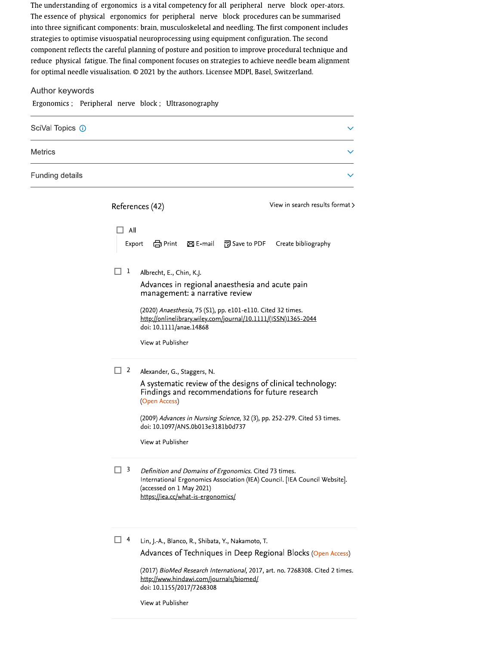The understanding of ergonomics is a vital competency for all peripheral nerve block oper-ators. The essence of physical ergonomics for peripheral nerve block procedures can be summarised into three significant components: brain, musculoskeletal and needling. The first component includes strategies to optimise visuospatial neuroprocessing using equipment configuration. The second component reflects the careful planning of posture and position to improve procedural technique and reduce physical fatigue. The final component focuses on strategies to achieve needle beam alignment for optimal needle visualisation. © 2021 by the authors. Licensee MDPI, Basel, Switzerland.

#### Author keywords

Ergonomics; Peripheral nerve block; Ultrasonography

| SciVal Topics (i) |  |
|-------------------|--|
| <b>Metrics</b>    |  |
| Funding details   |  |

|               | References (42)                                                                                            | View in search results format > |                                                                                                                                                                                  |                                                                                                                                              |
|---------------|------------------------------------------------------------------------------------------------------------|---------------------------------|----------------------------------------------------------------------------------------------------------------------------------------------------------------------------------|----------------------------------------------------------------------------------------------------------------------------------------------|
| All<br>Export | <b>合Print</b>                                                                                              | $\boxtimes$ E-mail              | <sup>7</sup> Save to PDF                                                                                                                                                         | Create bibliography                                                                                                                          |
| 1             | Albrecht, E., Chin, K.J.<br>management: a narrative review<br>doi: 10.1111/anae.14868<br>View at Publisher |                                 | Advances in regional anaesthesia and acute pain<br>(2020) Anaesthesia, 75 (S1), pp. e101-e110. Cited 32 times.<br>http://onlinelibrary.wiley.com/journal/10.1111/(ISSN)1365-2044 |                                                                                                                                              |
| 2             | Alexander, G., Staggers, N.<br>(Open Access)<br>doi: 10.1097/ANS.0b013e3181b0d737<br>View at Publisher     |                                 | Findings and recommendations for future research                                                                                                                                 | A systematic review of the designs of clinical technology:<br>(2009) Advances in Nursing Science, 32 (3), pp. 252-279. Cited 53 times.       |
| 3             | (accessed on 1 May 2021)<br>https://iea.cc/what-is-ergonomics/                                             |                                 | Definition and Domains of Ergonomics. Cited 73 times.                                                                                                                            | International Ergonomics Association (IEA) Council. [IEA Council Website].                                                                   |
| 4             |                                                                                                            |                                 | Lin, J.-A., Blanco, R., Shibata, Y., Nakamoto, T.                                                                                                                                | Advances of Techniques in Deep Regional Blocks (Open Access)<br>(2017) BioMed Research International, 2017, art. no. 7268308. Cited 2 times. |

http://www.hindawi.com/journals/biomed/ doi: 10.1155/2017/7268308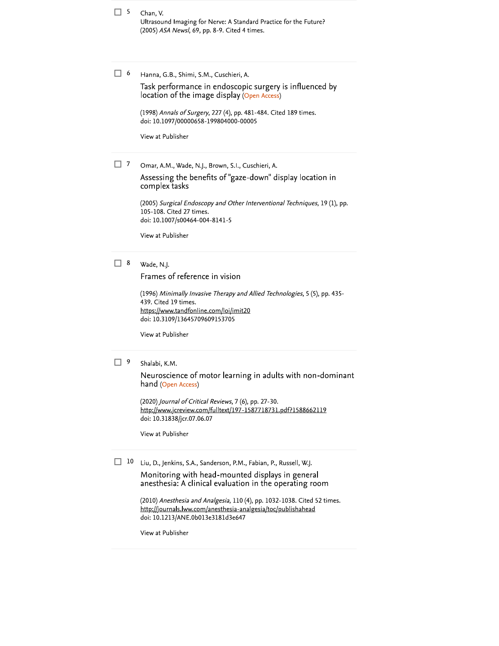$\Box$  5 Chan, V. Ultrasound Imaging for Nerve: A Standard Practice for the Future? (2005) ASA Newsl, 69, pp. 8-9. Cited 4 times.

 $\Box$  6 Hanna, G.B., Shimi, S.M., Cuschieri, A.

> Task performance in endoscopic surgery is influenced by location of the image display (Open Access)

(1998) Annals of Surgery, 227 (4), pp. 481-484. Cited 189 times. doi: 10.1097/00000658-199804000-00005

View at Publisher

 $\Box$  7 Omar, A.M., Wade, N.J., Brown, S.I., Cuschieri, A.

> Assessing the benefits of "gaze-down" display location in complex tasks

(2005) Surgical Endoscopy and Other Interventional Techniques, 19 (1), pp. 105-108. Cited 27 times. doi: 10.1007/s00464-004-8141-5

View at Publisher

#### $\Box$  8 Wade, N.J.

Frames of reference in vision

(1996) Minimally Invasive Therapy and Allied Technologies, 5 (5), pp. 435-439. Cited 19 times. https://www.tandfonline.com/loi/imit20 doi: 10.3109/13645709609153705

View at Publisher

#### $\Box$  9 Shalabi, K.M.

Neuroscience of motor learning in adults with non-dominant hand (Open Access)

(2020) Journal of Critical Reviews, 7 (6), pp. 27-30. http://www.jcreview.com/fulltext/197-1587718731.pdf?1588662119 doi: 10.31838/jcr.07.06.07

View at Publisher

 $\Box$  10 Liu, D., Jenkins, S.A., Sanderson, P.M., Fabian, P., Russell, W.J.

> Monitoring with head-mounted displays in general anesthesia: A clinical evaluation in the operating room

(2010) Anesthesia and Analgesia, 110 (4), pp. 1032-1038. Cited 52 times. http://journals.lww.com/anesthesia-analgesia/toc/publishahead doi: 10.1213/ANE.0b013e3181d3e647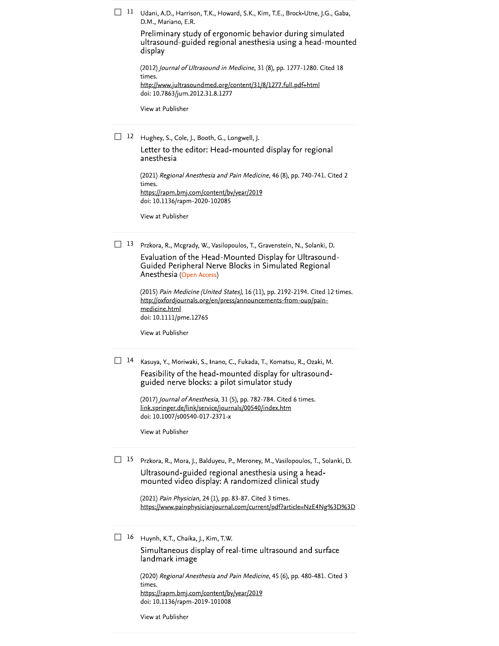$\Box$  11 Udani, A.D., Harrison, T.K., Howard, S.K., Kim, T.E., Brock-Utne, J.G., Gaba, D.M., Mariano, E.R.

> Preliminary study of ergonomic behavior during simulated ultrasound-guided regional anesthesia using a head-mounted display

(2012) Journal of Ultrasound in Medicine, 31 (8), pp. 1277-1280. Cited 18 times. http://www.jultrasoundmed.org/content/31/8/1277.full.pdf+html doi: 10.7863/jum.2012.31.8.1277

View at Publisher

12 Hughey, S., Cole, J., Booth, G., Longwell, J.

Letter to the editor: Head-mounted display for regional anesthesia

(2021) Regional Anesthesia and Pain Medicine, 46 (8), pp. 740-741. Cited 2 times. https://rapm.bmj.com/content/by/year/2019 doi: 10.1136/rapm-2020-102085

View at Publisher

 $\Box$  13 Przkora, R., Mcgrady, W., Vasilopoulos, T., Gravenstein, N., Solanki, D.

Evaluation of the Head-Mounted Display for Ultrasound-Guided Peripheral Nerve Blocks in Simulated Regional Anesthesia (Open Access)

(2015) Pain Medicine (United States), 16 (11), pp. 2192-2194. Cited 12 times. http://oxfordjournals.org/en/press/announcements-from-oup/painmedicine.html doi: 10.1111/pme.12765

View at Publisher

 $\Box$  14 Kasuya, Y., Moriwaki, S., Inano, C., Fukada, T., Komatsu, R., Ozaki, M. Feasibility of the head-mounted display for ultrasoundguided nerve blocks: a pilot simulator study

> (2017) Journal of Anesthesia, 31 (5), pp. 782-784. Cited 6 times. link.springer.de/link/service/journals/00540/index.htm doi: 10.1007/s00540-017-2371-x

View at Publisher

 $\Box$  15 Przkora, R., Mora, J., Balduyeu, P., Meroney, M., Vasilopoulos, T., Solanki, D. Ultrasound-guided regional anesthesia using a headmounted video display: A randomized clinical study

> (2021) Pain Physician, 24 (1), pp. 83-87. Cited 3 times. https://www.painphysicianjournal.com/current/pdf?article=NzE4Ng%3D%3D

 $\Box$  16 Huynh, K.T., Chaika, J., Kim, T.W.

Simultaneous display of real-time ultrasound and surface landmark image

(2020) Regional Anesthesia and Pain Medicine, 45 (6), pp. 480-481. Cited 3 times. https://rapm.bmj.com/content/by/year/2019 doi: 10.1136/rapm-2019-101008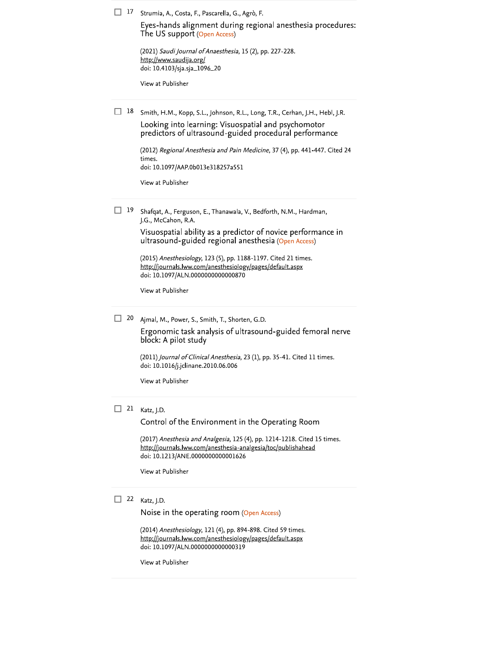|  |  | $\Box$ 17 Strumia, A., Costa, F., Pascarella, G., Agrò, F |  |  |  |  |
|--|--|-----------------------------------------------------------|--|--|--|--|
|--|--|-----------------------------------------------------------|--|--|--|--|

Eyes-hands alignment during regional anesthesia procedures: The US support (Open Access)

| (2021) Saudi Journal of Anaesthesia, 15 (2), pp. 227-228. |  |  |
|-----------------------------------------------------------|--|--|
| http://www.saudija.org/                                   |  |  |
| doi: 10.4103/sja.sja_1096_20                              |  |  |

View at Publisher

 $\Box$  18 Smith, H.M., Kopp, S.L., Johnson, R.L., Long, T.R., Cerhan, J.H., Hebl, J.R. Looking into learning: Visuospatial and psychomotor predictors of ultrasound-guided procedural performance

> (2012) Regional Anesthesia and Pain Medicine, 37 (4), pp. 441-447. Cited 24 times. doi: 10.1097/AAP.0b013e318257a551

View at Publisher

 $\Box$  19 Shafqat, A., Ferguson, E., Thanawala, V., Bedforth, N.M., Hardman, J.G., McCahon, R.A.

> Visuospatial ability as a predictor of novice performance in ultrasound-guided regional anesthesia (Open Access)

(2015) Anesthesiology, 123 (5), pp. 1188-1197. Cited 21 times. http://journals.lww.com/anesthesiology/pages/default.aspx doi: 10.1097/ALN.0000000000000870

View at Publisher

20 Ajmal, M., Power, S., Smith, T., Shorten, G.D.

Ergonomic task analysis of ultrasound-guided femoral nerve block: A pilot study

(2011) Journal of Clinical Anesthesia, 23 (1), pp. 35-41. Cited 11 times. doi: 10.1016/j.jclinane.2010.06.006

View at Publisher

#### $\Box$  21 Katz, J.D.

Control of the Environment in the Operating Room

(2017) Anesthesia and Analgesia, 125 (4), pp. 1214-1218. Cited 15 times. http://journals.lww.com/anesthesia-analgesia/toc/publishahead doi: 10.1213/ANE.0000000000001626

View at Publisher

### $\Box$  22 Katz, J.D.

Noise in the operating room (Open Access)

(2014) Anesthesiology, 121 (4), pp. 894-898. Cited 59 times. http://journals.lww.com/anesthesiology/pages/default.aspx doi: 10.1097/ALN.0000000000000319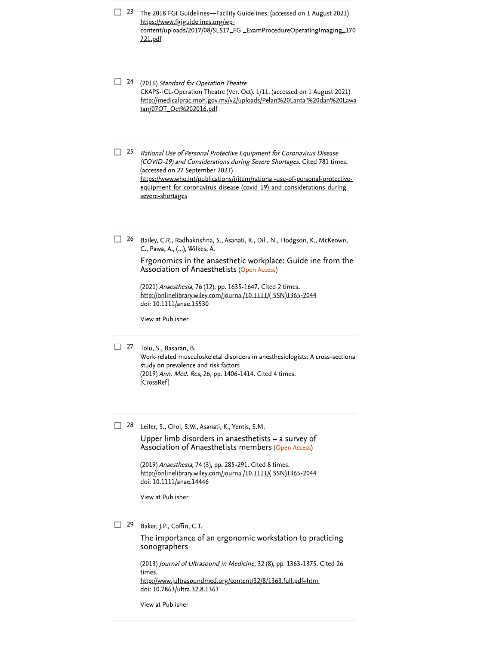| 23 | The 2018 FGI Guidelines-Facility Guidelines. (accessed on 1 August 2021)<br>https://www.fgiguidelines.org/wp-<br>content/uploads/2017/08/SLS17_FGI_ExamProcedureOperatingImaging_170<br>721.pdf                                                                                                                                                                                                           |
|----|-----------------------------------------------------------------------------------------------------------------------------------------------------------------------------------------------------------------------------------------------------------------------------------------------------------------------------------------------------------------------------------------------------------|
| 24 | (2016) Standard for Operation Theatre<br>CKAPS-ICL-Operation Theatre (Ver. Oct). 1/11. (accessed on 1 August 2021)<br>http://medicalprac.moh.gov.my/v2/uploads/Pelan%20Lantai%20dan%20Lawa<br>tan/07OT_Oct%202016.pdf                                                                                                                                                                                     |
| 25 | Rational Use of Personal Protective Equipment for Coronavirus Disease<br>(COVID-19) and Considerations during Severe Shortages. Cited 781 times.<br>(accessed on 27 September 2021)<br>https://www.who.int/publications/i/item/rational-use-of-personal-protective-<br>equipment-for-coronavirus-disease-(covid-19)-and-considerations-during-<br>severe-shortages                                        |
| 26 | Bailey, C.R., Radhakrishna, S., Asanati, K., Dill, N., Hodgson, K., McKeown,<br>C., Pawa, A., (), Wilkes, A.<br>Ergonomics in the anaesthetic workplace: Guideline from the<br>Association of Anaesthetists (Open Access)<br>(2021) Anaesthesia, 76 (12), pp. 1635-1647. Cited 2 times.<br>http://onlinelibrary.wiley.com/journal/10.1111/(ISSN)1365-2044<br>doi: 10.1111/anae.15530<br>View at Publisher |
| 27 | Tolu, S., Basaran, B.<br>Work-related musculoskeletal disorders in anesthesiologists: A cross-sectional<br>study on prevalence and risk factors<br>(2019) Ann. Med. Res, 26, pp. 1406-1414. Cited 4 times.<br>[CrossRef]                                                                                                                                                                                  |
| 28 | Leifer, S., Choi, S.W., Asanati, K., Yentis, S.M.<br>Upper limb disorders in anaesthetists – a survey of<br>Association of Anaesthetists members (Open Access)<br>(2019) Anaesthesia, 74 (3), pp. 285-291. Cited 8 times.<br>http://onlinelibrary.wiley.com/journal/10.1111/(ISSN)1365-2044<br>doi: 10.1111/anae.14446<br>View at Publisher                                                               |
| 29 | Baker, J.P., Coffin, C.T.<br>The importance of an ergonomic workstation to practicing<br>sonographers<br>(2013) Journal of Ultrasound in Medicine, 32 (8), pp. 1363-1375. Cited 26<br>times.<br>http://www.jultrasoundmed.org/content/32/8/1363.full.pdf+html<br>doi: 10.7863/ultra.32.8.1363                                                                                                             |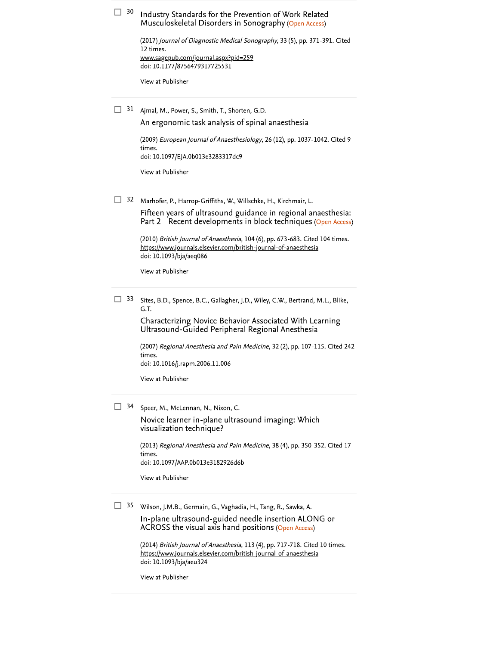| 30 | Industry Standards for the Prevention of Work Related<br>Musculoskeletal Disorders in Sonography (Open Access)                                                                                      |
|----|-----------------------------------------------------------------------------------------------------------------------------------------------------------------------------------------------------|
|    | (2017) Journal of Diagnostic Medical Sonography, 33 (5), pp. 371-391. Cited<br>12 times.<br>www.sagepub.com/journal.aspx?pid=259<br>doi: 10.1177/8756479317725531                                   |
|    | View at Publisher                                                                                                                                                                                   |
| 31 | Ajmal, M., Power, S., Smith, T., Shorten, G.D.<br>An ergonomic task analysis of spinal anaesthesia                                                                                                  |
|    | (2009) European Journal of Anaesthesiology, 26 (12), pp. 1037-1042. Cited 9<br>times.<br>doi: 10.1097/EJA.0b013e3283317dc9                                                                          |
|    | View at Publisher                                                                                                                                                                                   |
| 32 | Marhofer, P., Harrop-Griffiths, W., Willschke, H., Kirchmair, L.<br>Fifteen years of ultrasound guidance in regional anaesthesia:<br>Part 2 - Recent developments in block techniques (Open Access) |
|    | (2010) British Journal of Anaesthesia, 104 (6), pp. 673-683. Cited 104 times.<br>https://www.journals.elsevier.com/british-journal-of-anaesthesia<br>doi: 10.1093/bja/aeq086                        |
|    | View at Publisher                                                                                                                                                                                   |
| 33 | Sites, B.D., Spence, B.C., Gallagher, J.D., Wiley, C.W., Bertrand, M.L., Blike,<br>G.T.                                                                                                             |
|    | Characterizing Novice Behavior Associated With Learning<br>Ultrasound-Guided Peripheral Regional Anesthesia                                                                                         |
|    | (2007) Regional Anesthesia and Pain Medicine, 32 (2), pp. 107-115. Cited 242<br>times.<br>doi: 10.1016/j.rapm.2006.11.006                                                                           |
|    | View at Publisher                                                                                                                                                                                   |
| 34 | Speer, M., McLennan, N., Nixon, C.<br>Novice learner in-plane ultrasound imaging: Which                                                                                                             |
|    | visualization technique?                                                                                                                                                                            |
|    | (2013) Regional Anesthesia and Pain Medicine, 38 (4), pp. 350-352. Cited 17<br>times.<br>doi: 10.1097/AAP.0b013e3182926d6b                                                                          |
|    | View at Publisher                                                                                                                                                                                   |
| 35 | Wilson, J.M.B., Germain, G., Vaghadia, H., Tang, R., Sawka, A.                                                                                                                                      |

In-plane ultrasound-guided needle insertion ALONG or<br>ACROSS the visual axis hand positions (Open Access)

(2014) *British Journal of Anaesthesia*, 113 (4), pp. 717-718. Cited 10 times.<br><u>https://www.journals.elsevier.com/british-journal-of-anaesthesia</u><br>doi: 10.1093/bja/aeu324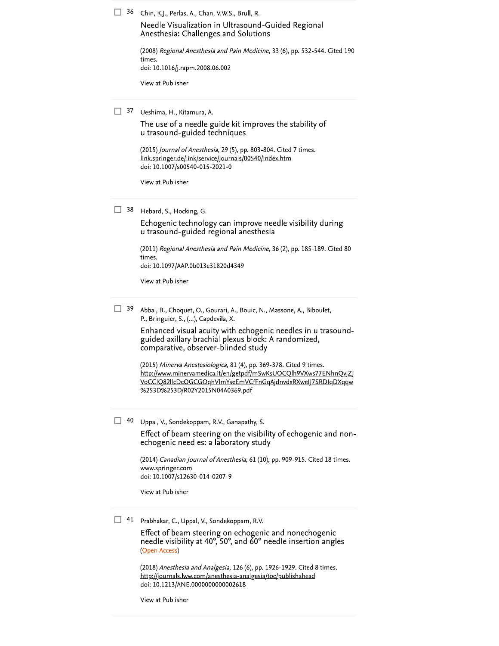$\Box$  36 Chin, K.J., Perlas, A., Chan, V.W.S., Brull, R.

Needle Visualization in Ultrasound-Guided Regional Anesthesia: Challenges and Solutions

(2008) Regional Anesthesia and Pain Medicine, 33 (6), pp. 532-544. Cited 190 times. doi: 10.1016/j.rapm.2008.06.002

View at Publisher

 $\Box$  37 Ueshima, H., Kitamura, A.

The use of a needle guide kit improves the stability of ultrasound-guided techniques

(2015) Journal of Anesthesia, 29 (5), pp. 803-804. Cited 7 times. link.springer.de/link/service/journals/00540/index.htm doi: 10.1007/s00540-015-2021-0

View at Publisher

 $\Box$  38 Hebard, S., Hocking, G.

Echogenic technology can improve needle visibility during ultrasound-guided regional anesthesia

(2011) Regional Anesthesia and Pain Medicine, 36 (2), pp. 185-189. Cited 80 times. doi: 10.1097/AAP.0b013e31820d4349

View at Publisher

 $\Box$  39 Abbal, B., Choquet, O., Gourari, A., Bouic, N., Massone, A., Biboulet, P., Bringuier, S., (...), Capdevila, X.

> Enhanced visual acuity with echogenic needles in ultrasoundguided axillary brachial plexus block: A randomized, comparative, observer-blinded study

> (2015) Minerva Anestesiologica, 81 (4), pp. 369-378. Cited 9 times. http://www.minervamedica.it/en/getpdf/mSwKsUOCQlh9VXws77ENhnQvjZJ VoCCIQ82llcDcOGCGOqhVlmYseEmVCfFnGqAjdnvdxRXwelJ7SRDIqDXqqw %253D%253D/R02Y2015N04A0369.pdf

 $\Box$  40 Uppal, V., Sondekoppam, R.V., Ganapathy, S.

Effect of beam steering on the visibility of echogenic and nonechogenic needles: a laboratory study

(2014) Canadian Journal of Anesthesia, 61 (10), pp. 909-915. Cited 18 times. www.springer.com doi: 10.1007/s12630-014-0207-9

View at Publisher

 $\Box$  41 Prabhakar, C., Uppal, V., Sondekoppam, R.V.

Effect of beam steering on echogenic and nonechogenic needle visibility at 40°, 50°, and 60° needle insertion angles (Open Access)

(2018) Anesthesia and Analgesia, 126 (6), pp. 1926-1929. Cited 8 times. http://journals.lww.com/anesthesia-analgesia/toc/publishahead doi: 10.1213/ANE.0000000000002618